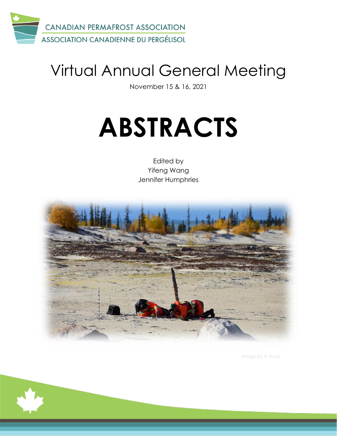

# Virtual Annual General Meeting

November 15 & 16, 2021

# **ABSTRACTS**

Edited by Yifeng Wang Jennifer Humphries



Image by A. Rudy

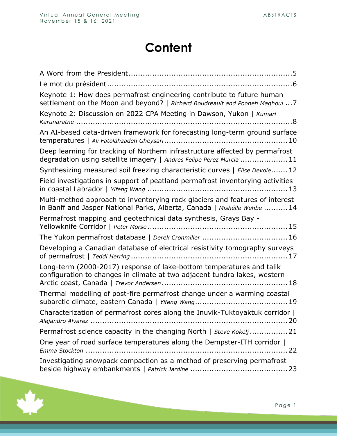# **Content**

| Keynote 1: How does permafrost engineering contribute to future human<br>settlement on the Moon and beyond?   Richard Boudreault and Pooneh Maghoul  7   |
|----------------------------------------------------------------------------------------------------------------------------------------------------------|
| Keynote 2: Discussion on 2022 CPA Meeting in Dawson, Yukon   Kumari                                                                                      |
| An AI-based data-driven framework for forecasting long-term ground surface                                                                               |
| Deep learning for tracking of Northern infrastructure affected by permafrost<br>degradation using satellite imagery   Andres Felipe Perez Murcia  11     |
| Synthesizing measured soil freezing characteristic curves   Élise Devoie 12                                                                              |
| Field investigations in support of peatland permafrost inventorying activities                                                                           |
| Multi-method approach to inventorying rock glaciers and features of interest<br>in Banff and Jasper National Parks, Alberta, Canada   Mishélle Wehbe  14 |
| Permafrost mapping and geotechnical data synthesis, Grays Bay -                                                                                          |
|                                                                                                                                                          |
| Developing a Canadian database of electrical resistivity tomography surveys                                                                              |
| Long-term (2000-2017) response of lake-bottom temperatures and talik<br>configuration to changes in climate at two adjacent tundra lakes, western        |
| Thermal modelling of post-fire permafrost change under a warming coastal                                                                                 |
| Characterization of permafrost cores along the Inuvik-Tuktoyaktuk corridor                                                                               |
| Permafrost science capacity in the changing North   Steve Kokelj 21                                                                                      |
| One year of road surface temperatures along the Dempster-ITH corridor                                                                                    |
| Investigating snowpack compaction as a method of preserving permafrost                                                                                   |

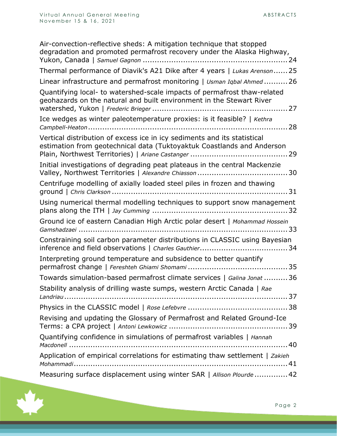| Air-convection-reflective sheds: A mitigation technique that stopped<br>degradation and promoted permafrost recovery under the Alaska Highway,     |
|----------------------------------------------------------------------------------------------------------------------------------------------------|
| Thermal performance of Diavik's A21 Dike after 4 years   Lukas Arenson 25                                                                          |
| Linear infrastructure and permafrost monitoring   Usman Iqbal Ahmed 26                                                                             |
| Quantifying local- to watershed-scale impacts of permafrost thaw-related<br>geohazards on the natural and built environment in the Stewart River   |
| Ice wedges as winter paleotemperature proxies: is it feasible?   Kethra                                                                            |
| Vertical distribution of excess ice in icy sediments and its statistical<br>estimation from geotechnical data (Tuktoyaktuk Coastlands and Anderson |
| Initial investigations of degrading peat plateaus in the central Mackenzie                                                                         |
| Centrifuge modelling of axially loaded steel piles in frozen and thawing                                                                           |
| Using numerical thermal modelling techniques to support snow management                                                                            |
| Ground ice of eastern Canadian High Arctic polar desert   Mohammad Hossein                                                                         |
| Constraining soil carbon parameter distributions in CLASSIC using Bayesian                                                                         |
| Interpreting ground temperature and subsidence to better quantify                                                                                  |
| Towards simulation-based permafrost climate services   Galina Jonat  36                                                                            |
| Stability analysis of drilling waste sumps, western Arctic Canada   Rae                                                                            |
|                                                                                                                                                    |
| Revising and updating the Glossary of Permafrost and Related Ground-Ice                                                                            |
| Quantifying confidence in simulations of permafrost variables   Hannah                                                                             |
| Application of empirical correlations for estimating thaw settlement   Zakieh                                                                      |
| Measuring surface displacement using winter SAR   Allison Plourde  42                                                                              |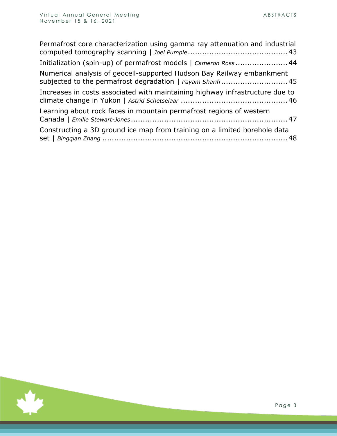$\mathcal{L}_{\mathcal{A}}$ 

| Permafrost core characterization using gamma ray attenuation and industrial                                                          |
|--------------------------------------------------------------------------------------------------------------------------------------|
| Initialization (spin-up) of permafrost models   Cameron Ross  44                                                                     |
| Numerical analysis of geocell-supported Hudson Bay Railway embankment<br>subjected to the permafrost degradation   Payam Sharifi  45 |
| Increases in costs associated with maintaining highway infrastructure due to                                                         |
| Learning about rock faces in mountain permafrost regions of western                                                                  |
| Constructing a 3D ground ice map from training on a limited borehole data                                                            |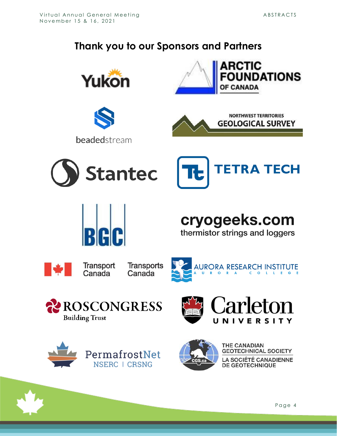#### **Thank you to our Sponsors and Partners**





beadedstream











cryogeeks.com

thermistor strings and loggers

|--|

Transport Canada













THE CANADIAN **GEOTECHNICAL SOCIETY LA SOCIÉTÉ CANADIENNE DE GÉOTECHNIQUE**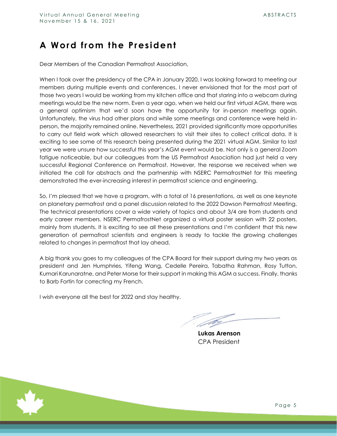#### <span id="page-5-0"></span>**A Word from the President**

Dear Members of the Canadian Permafrost Association,

When I took over the presidency of the CPA in January 2020, I was looking forward to meeting our members during multiple events and conferences. I never envisioned that for the most part of those two years I would be working from my kitchen office and that staring into a webcam during meetings would be the new norm. Even a year ago, when we held our first virtual AGM, there was a general optimism that we'd soon have the opportunity for in-person meetings again. Unfortunately, the virus had other plans and while some meetings and conference were held inperson, the majority remained online. Nevertheless, 2021 provided significantly more opportunities to carry out field work which allowed researchers to visit their sites to collect critical data. It is exciting to see some of this research being presented during the 2021 virtual AGM. Similar to last year we were unsure how successful this year's AGM event would be. Not only is a general Zoom fatigue noticeable, but our colleagues from the US Permafrost Association had just held a very successful Regional Conference on Permafrost. However, the response we received when we initiated the call for abstracts and the partnership with NSERC PermafrostNet for this meeting demonstrated the ever-increasing interest in permafrost science and engineering.

So, I'm pleased that we have a program, with a total of 16 presentations, as well as one keynote on planetary permafrost and a panel discussion related to the 2022 Dawson Permafrost Meeting. The technical presentations cover a wide variety of topics and about 3/4 are from students and early career members. NSERC PermafrostNet organized a virtual poster session with 22 posters, mainly from students. It is exciting to see all these presentations and I'm confident that this new generation of permafrost scientists and engineers is ready to tackle the growing challenges related to changes in permafrost that lay ahead.

A big thank you goes to my colleagues of the CPA Board for their support during my two years as president and Jen Humphries, Yifeng Wang, Cedelle Pereira, Tabatha Rahman, Rosy Tutton, Kumari Karunaratne, and Peter Morse for their support in making this AGM a success. Finally, thanks to Barb Fortin for correcting my French.

I wish everyone all the best for 2022 and stay healthy.

**Lukas Arenson** CPA President

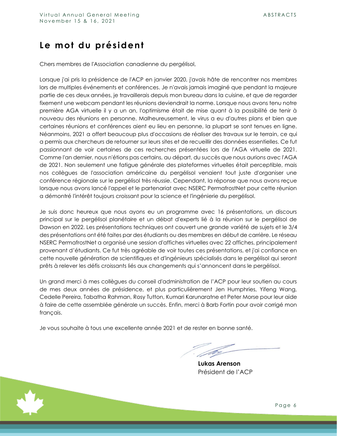#### <span id="page-6-0"></span>**Le mot du président**

Chers membres de l'Association canadienne du pergélisol,

Lorsque j'ai pris la présidence de l'ACP en janvier 2020, j'avais hâte de rencontrer nos membres lors de multiples événements et conférences. Je n'avais jamais imaginé que pendant la majeure partie de ces deux années, je travaillerais depuis mon bureau dans la cuisine, et que de regarder fixement une webcam pendant les réunions deviendrait la norme. Lorsque nous avons tenu notre première AGA virtuelle il y a un an, l'optimisme était de mise quant à la possibilité de tenir à nouveau des réunions en personne. Malheureusement, le virus a eu d'autres plans et bien que certaines réunions et conférences aient eu lieu en personne, la plupart se sont tenues en ligne. Néanmoins, 2021 a offert beaucoup plus d'occasions de réaliser des travaux sur le terrain, ce qui a permis aux chercheurs de retourner sur leurs sites et de recueillir des données essentielles. Ce fut passionnant de voir certaines de ces recherches présentées lors de l'AGA virtuelle de 2021. Comme l'an dernier, nous n'étions pas certains, au départ, du succès que nous aurions avec l'AGA de 2021. Non seulement une fatigue générale des plateformes virtuelles était perceptible, mais nos collègues de l'association américaine du pergélisol venaient tout juste d'organiser une conférence régionale sur le pergélisol très réussie. Cependant, la réponse que nous avons reçue lorsque nous avons lancé l'appel et le partenariat avec NSERC PermafrostNet pour cette réunion a démontré l'intérêt toujours croissant pour la science et l'ingénierie du pergélisol.

Je suis donc heureux que nous ayons eu un programme avec 16 présentations, un discours principal sur le pergélisol planétaire et un débat d'experts lié à la réunion sur le pergélisol de Dawson en 2022. Les présentations techniques ont couvert une grande variété de sujets et le 3/4 des présentations ont été faites par des étudiants ou des membres en début de carrière. Le réseau NSERC PermafrostNet a organisé une session d'affiches virtuelles avec 22 affiches, principalement provenant d'étudiants. Ce fut très agréable de voir toutes ces présentations, et j'ai confiance en cette nouvelle génération de scientifiques et d'ingénieurs spécialisés dans le pergélisol qui seront prêts à relever les défis croissants liés aux changements qui s'annoncent dans le pergélisol.

Un grand merci à mes collègues du conseil d'administration de l'ACP pour leur soutien au cours de mes deux années de présidence, et plus particulièrement Jen Humphries, Yifeng Wang, Cedelle Pereira, Tabatha Rahman, Rosy Tutton, Kumari Karunaratne et Peter Morse pour leur aide à faire de cette assemblée générale un succès. Enfin, merci à Barb Fortin pour avoir corrigé mon français.

Je vous souhaite à tous une excellente année 2021 et de rester en bonne santé.

**Lukas Arenson** Président de l'ACP

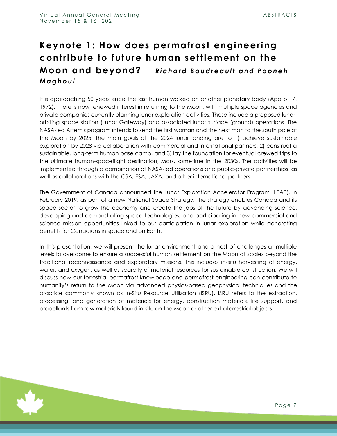#### <span id="page-7-0"></span>**Keynote 1: How does permafrost engineering contribute to future human settlement on the Moon and beyond?** | Richard Boudreault and Pooneh *M a g h o u l*

It is approaching 50 years since the last human walked on another planetary body (Apollo 17, 1972). There is now renewed interest in returning to the Moon, with multiple space agencies and private companies currently planning lunar exploration activities. These include a proposed lunarorbiting space station (Lunar Gateway) and associated lunar surface (ground) operations. The NASA-led Artemis program intends to send the first woman and the next man to the south pole of the Moon by 2025. The main goals of the 2024 lunar landing are to 1) achieve sustainable exploration by 2028 via collaboration with commercial and international partners, 2) construct a sustainable, long-term human base camp, and 3) lay the foundation for eventual crewed trips to the ultimate human-spaceflight destination, Mars, sometime in the 2030s. The activities will be implemented through a combination of NASA-led operations and public-private partnerships, as well as collaborations with the CSA, ESA, JAXA, and other international partners.

The Government of Canada announced the Lunar Exploration Accelerator Program (LEAP), in February 2019, as part of a new National Space Strategy. The strategy enables Canada and its space sector to grow the economy and create the jobs of the future by advancing science, developing and demonstrating space technologies, and participating in new commercial and science mission opportunities linked to our participation in lunar exploration while generating benefits for Canadians in space and on Earth.

In this presentation, we will present the lunar environment and a host of challenges at multiple levels to overcome to ensure a successful human settlement on the Moon at scales beyond the traditional reconnaissance and exploratory missions. This includes in-situ harvesting of energy, water, and oxygen, as well as scarcity of material resources for sustainable construction. We will discuss how our terrestrial permafrost knowledge and permafrost engineering can contribute to humanity's return to the Moon via advanced physics-based geophysical techniques and the practice commonly known as In-Situ Resource Utilization (ISRU). ISRU refers to the extraction, processing, and generation of materials for energy, construction materials, life support, and propellants from raw materials found in-situ on the Moon or other extraterrestrial objects.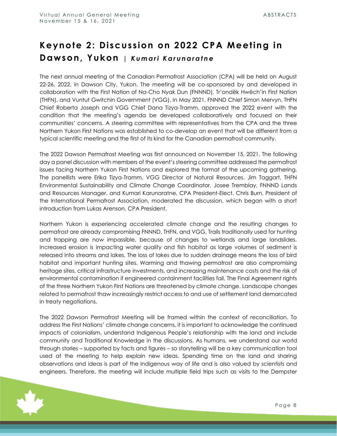#### <span id="page-8-0"></span>**Keynote 2: Discussion on 2022 CPA Meeting in Dawson, Yukon |** *K u m a r i K a r u n a r a t n e*

The next annual meeting of the Canadian Permafrost Association (CPA) will be held on August 22-26, 2022, in Dawson City, Yukon. The meeting will be co-sponsored by and developed in collaboration with the First Nation of Na-Cho Nyak Dun (FNNND), Tr'ondëk Hwëch'in First Nation (THFN), and Vuntut Gwitchin Government (VGG). In May 2021, FNNND Chief Simon Mervyn, THFN Chief Roberta Joseph and VGG Chief Dana Tizya-Tramm, approved the 2022 event with the condition that the meeting's agenda be developed collaboratively and focused on their communities' concerns. A steering committee with representatives from the CPA and the three Northern Yukon First Nations was established to co-develop an event that will be different from a typical scientific meeting and the first of its kind for the Canadian permafrost community.

The 2022 Dawson Permafrost Meeting was first announced on November 15, 2021. The following day a panel discussion with members of the event's steering committee addressed the permafrost issues facing Northern Yukon First Nations and explored the format of the upcoming gathering. The panellists were Erika Tizya-Tramm, VGG Director of Natural Resources, Jim Taggart, THFN Environmental Sustainability and Climate Change Coordinator, Josee Tremblay, FNNND Lands and Resources Manager, and Kumari Karunaratne, CPA President-Elect. Chris Burn, President of the International Permafrost Association, moderated the discussion, which began with a short introduction from Lukas Arenson, CPA President.

Northern Yukon is experiencing accelerated climate change and the resulting changes to permafrost are already compromising FNNND, THFN, and VGG. Trails traditionally used for hunting and trapping are now impassible, because of changes to wetlands and large landslides. Increased erosion is impacting water quality and fish habitat as large volumes of sediment is released into streams and lakes. The loss of lakes due to sudden drainage means the loss of bird habitat and important hunting sites. Warming and thawing permafrost are also compromising heritage sites, critical infrastructure investments, and increasing maintenance costs and the risk of environmental contamination if engineered containment facilities fail. The Final Agreement rights of the three Northern Yukon First Nations are threatened by climate change. Landscape changes related to permafrost thaw increasingly restrict access to and use of settlement land demarcated in treaty negotiations.

The 2022 Dawson Permafrost Meeting will be framed within the context of reconciliation. To address the First Nations' climate change concerns, it is important to acknowledge the continued impacts of colonialism, understand Indigenous People's relationship with the land and include community and Traditional Knowledge in the discussions. As humans, we understand our world through stories – supported by facts and figures – so storytelling will be a key communication tool used at the meeting to help explain new ideas. Spending time on the land and sharing observations and ideas is part of the Indigenous way of life and is also valued by scientists and engineers. Therefore, the meeting will include multiple field trips such as visits to the Dempster

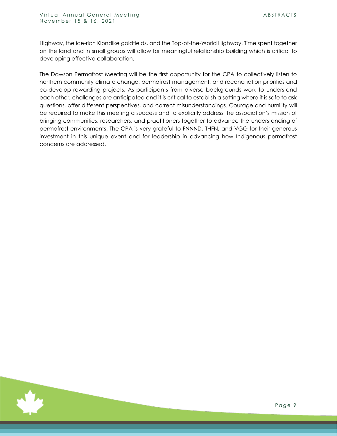Highway, the ice-rich Klondike goldfields, and the Top-of-the-World Highway. Time spent together on the land and in small groups will allow for meaningful relationship building which is critical to developing effective collaboration.

The Dawson Permafrost Meeting will be the first opportunity for the CPA to collectively listen to northern community climate change, permafrost management, and reconciliation priorities and co-develop rewarding projects. As participants from diverse backgrounds work to understand each other, challenges are anticipated and it is critical to establish a setting where it is safe to ask questions, offer different perspectives, and correct misunderstandings. Courage and humility will be required to make this meeting a success and to explicitly address the association's mission of bringing communities, researchers, and practitioners together to advance the understanding of permafrost environments. The CPA is very grateful to FNNND, THFN, and VGG for their generous investment in this unique event and for leadership in advancing how Indigenous permafrost concerns are addressed.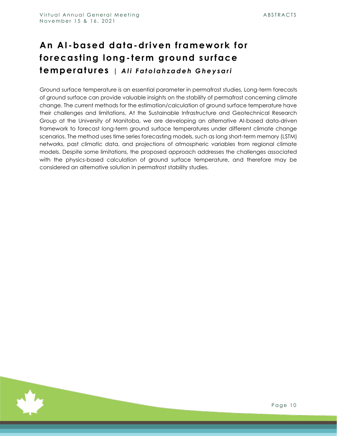#### <span id="page-10-0"></span>**An AI -based data-driven framework for forecasting long- term ground surface temperatures |** *A l i F a t o l a h z a d e h G h e y s a r i*

Ground surface temperature is an essential parameter in permafrost studies. Long-term forecasts of ground surface can provide valuable insights on the stability of permafrost concerning climate change. The current methods for the estimation/calculation of ground surface temperature have their challenges and limitations. At the Sustainable Infrastructure and Geotechnical Research Group at the University of Manitoba, we are developing an alternative AI-based data-driven framework to forecast long-term ground surface temperatures under different climate change scenarios. The method uses time series forecasting models, such as long short-term memory (LSTM) networks, past climatic data, and projections of atmospheric variables from regional climate models. Despite some limitations, the proposed approach addresses the challenges associated with the physics-based calculation of ground surface temperature, and therefore may be considered an alternative solution in permafrost stability studies.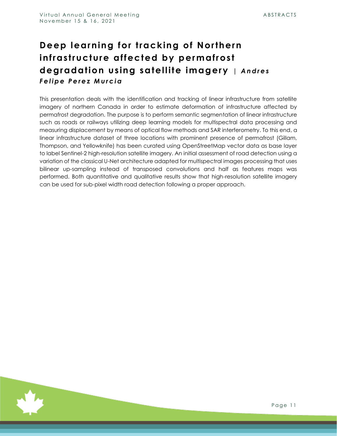#### <span id="page-11-0"></span>**Deep learning for tracking of Northern infrastructure affected by permafrost degradation using satellite imagery |** *A n d r e s F e l i p e P e r e z M u r c i a*

This presentation deals with the identification and tracking of linear infrastructure from satellite imagery of northern Canada in order to estimate deformation of infrastructure affected by permafrost degradation. The purpose is to perform semantic segmentation of linear infrastructure such as roads or railways utilizing deep learning models for multispectral data processing and measuring displacement by means of optical flow methods and SAR interferometry. To this end, a linear infrastructure dataset of three locations with prominent presence of permafrost (Gillam, Thompson, and Yellowknife) has been curated using OpenStreetMap vector data as base layer to label Sentinel-2 high-resolution satellite imagery. An initial assessment of road detection using a variation of the classical U-Net architecture adapted for multispectral images processing that uses bilinear up-sampling instead of transposed convolutions and half as features maps was performed. Both quantitative and qualitative results show that high-resolution satellite imagery can be used for sub-pixel width road detection following a proper approach.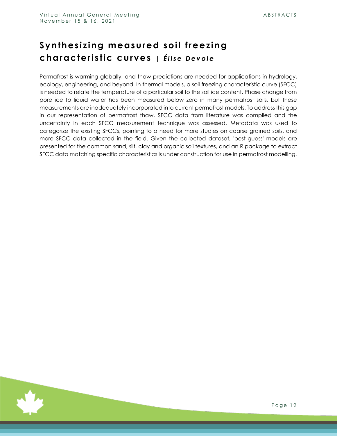#### <span id="page-12-0"></span>**Synthesizing measured soil freezing characteristic curves |** *É l i s e D e v o i e*

Permafrost is warming globally, and thaw predictions are needed for applications in hydrology, ecology, engineering, and beyond. In thermal models, a soil freezing characteristic curve (SFCC) is needed to relate the temperature of a particular soil to the soil ice content. Phase change from pore ice to liquid water has been measured below zero in many permafrost soils, but these measurements are inadequately incorporated into current permafrost models. To address this gap in our representation of permafrost thaw, SFCC data from literature was compiled and the uncertainty in each SFCC measurement technique was assessed. Metadata was used to categorize the existing SFCCs, pointing to a need for more studies on coarse grained soils, and more SFCC data collected in the field. Given the collected dataset, 'best-guess' models are presented for the common sand, silt, clay and organic soil textures, and an R package to extract SFCC data matching specific characteristics is under construction for use in permafrost modelling.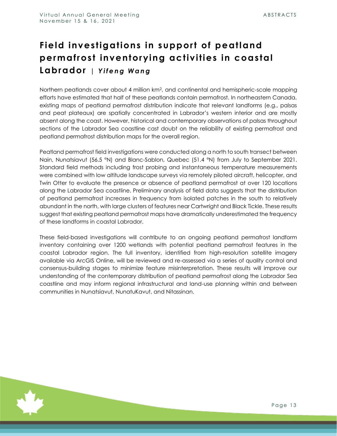# <span id="page-13-0"></span>**Field investigations in support of peatland permafrost inventorying activities in coastal Labrador** | Yifeng Wang

Northern peatlands cover about 4 million km2, and continental and hemispheric-scale mapping efforts have estimated that half of these peatlands contain permafrost. In northeastern Canada, existing maps of peatland permafrost distribution indicate that relevant landforms (e.g., palsas and peat plateaux) are spatially concentrated in Labrador's western interior and are mostly absent along the coast. However, historical and contemporary observations of palsas throughout sections of the Labrador Sea coastline cast doubt on the reliability of existing permafrost and peatland permafrost distribution maps for the overall region.

Peatland permafrost field investigations were conducted along a north to south transect between Nain, Nunatsiavut (56.5 °N) and Blanc-Sablon, Quebec (51.4 °N) from July to September 2021. Standard field methods including frost probing and instantaneous temperature measurements were combined with low altitude landscape surveys via remotely piloted aircraft, helicopter, and Twin Otter to evaluate the presence or absence of peatland permafrost at over 120 locations along the Labrador Sea coastline. Preliminary analysis of field data suggests that the distribution of peatland permafrost increases in frequency from isolated patches in the south to relatively abundant in the north, with large clusters of features near Cartwright and Black Tickle. These results suggest that existing peatland permafrost maps have dramatically underestimated the frequency of these landforms in coastal Labrador.

These field-based investigations will contribute to an ongoing peatland permafrost landform inventory containing over 1200 wetlands with potential peatland permafrost features in the coastal Labrador region. The full inventory, identified from high-resolution satellite imagery available via ArcGIS Online, will be reviewed and re-assessed via a series of quality control and consensus-building stages to minimize feature misinterpretation. These results will improve our understanding of the contemporary distribution of peatland permafrost along the Labrador Sea coastline and may inform regional infrastructural and land-use planning within and between communities in Nunatsiavut, NunatuKavut, and Nitassinan.

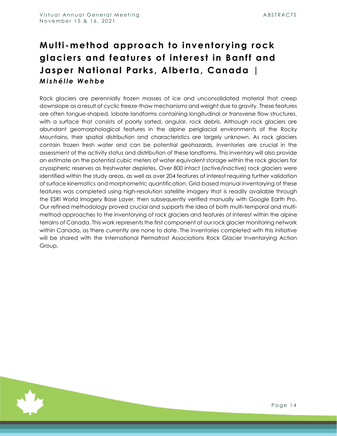#### <span id="page-14-0"></span>**Multi -method approach to inventorying rock glaciers and features of interest in Banff and Jasper National Parks, Alberta, Canada |**  *M i s h é l l e W e h b e*

Rock glaciers are perennially frozen masses of ice and unconsolidated material that creep downslope as a result of cyclic freeze-thaw mechanisms and weight due to gravity. These features are often tongue-shaped, lobate landforms containing longitudinal or transverse flow structures, with a surface that consists of poorly sorted, angular, rock debris. Although rock glaciers are abundant geomorphological features in the alpine periglacial environments of the Rocky Mountains, their spatial distribution and characteristics are largely unknown. As rock glaciers contain frozen fresh water and can be potential geohazards, inventories are crucial in the assessment of the activity status and distribution of these landforms. This inventory will also provide an estimate on the potential cubic meters of water equivalent storage within the rock glaciers for cryospheric reserves as freshwater depletes. Over 800 intact (active/inactive) rock glaciers were identified within the study areas, as well as over 204 features of interest requiring further validation of surface kinematics and morphometric quantification. Grid-based manual inventorying of these features was completed using high-resolution satellite imagery that is readily available through the ESRI World Imagery Base Layer, then subsequently verified manually with Google Earth Pro. Our refined methodology proved crucial and supports the idea of both multi-temporal and multimethod approaches to the inventorying of rock glaciers and features of interest within the alpine terrains of Canada. This work represents the first component of our rock glacier monitoring network within Canada, as there currently are none to date. The inventories completed with this initiative will be shared with the International Permafrost Associations Rock Glacier Inventorying Action Group.

Page 14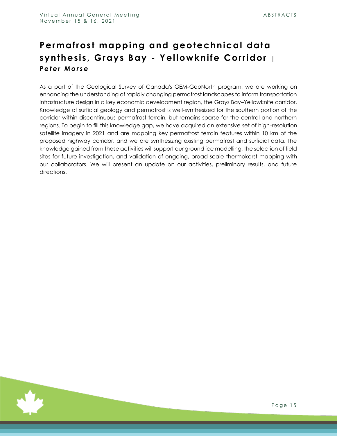#### <span id="page-15-0"></span>**Permafrost mapping and geotechnical data synthesis, Grays Bay - Yellowknife Corridor |**  Peter Morse

As a part of the Geological Survey of Canada's GEM-GeoNorth program, we are working on enhancing the understanding of rapidly changing permafrost landscapes to inform transportation infrastructure design in a key economic development region, the Grays Bay–Yellowknife corridor. Knowledge of surficial geology and permafrost is well-synthesized for the southern portion of the corridor within discontinuous permafrost terrain, but remains sparse for the central and northern regions. To begin to fill this knowledge gap, we have acquired an extensive set of high-resolution satellite imagery in 2021 and are mapping key permafrost terrain features within 10 km of the proposed highway corridor, and we are synthesizing existing permafrost and surficial data. The knowledge gained from these activities will support our ground ice modelling, the selection of field sites for future investigation, and validation of ongoing, broad-scale thermokarst mapping with our collaborators. We will present an update on our activities, preliminary results, and future directions.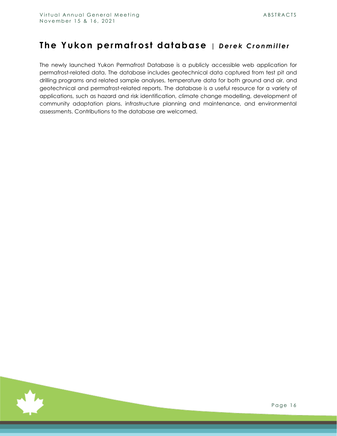#### <span id="page-16-0"></span>The Yukon permafrost database | Derek Cronmiller

The newly launched Yukon Permafrost Database is a publicly accessible web application for permafrost-related data. The database includes geotechnical data captured from test pit and drilling programs and related sample analyses, temperature data for both ground and air, and geotechnical and permafrost-related reports. The database is a useful resource for a variety of applications, such as hazard and risk identification, climate change modelling, development of community adaptation plans, infrastructure planning and maintenance, and environmental assessments. Contributions to the database are welcomed.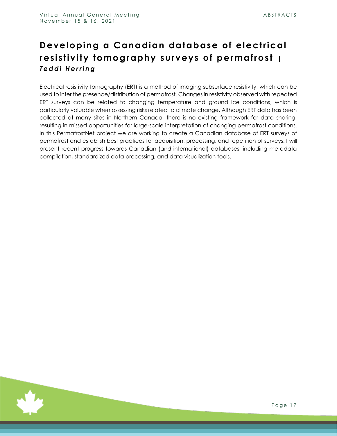#### <span id="page-17-0"></span>**Developing a Canadian database of electrical resistivity tomography surveys of permafrost |**  *T e d d i H e r r i n g*

Electrical resistivity tomography (ERT) is a method of imaging subsurface resistivity, which can be used to infer the presence/distribution of permafrost. Changes in resistivity observed with repeated ERT surveys can be related to changing temperature and ground ice conditions, which is particularly valuable when assessing risks related to climate change. Although ERT data has been collected at many sites in Northern Canada, there is no existing framework for data sharing, resulting in missed opportunities for large-scale interpretation of changing permafrost conditions. In this PermafrostNet project we are working to create a Canadian database of ERT surveys of permafrost and establish best practices for acquisition, processing, and repetition of surveys. I will present recent progress towards Canadian (and international) databases, including metadata compilation, standardized data processing, and data visualization tools.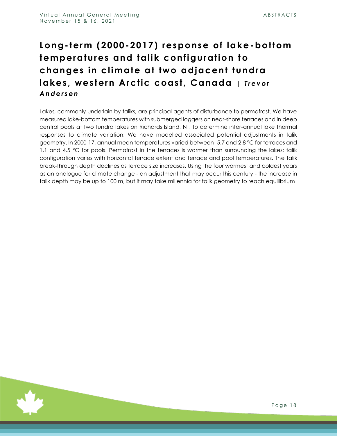#### <span id="page-18-0"></span>**Long- term (2000 -2017) response of lake-bottom temperatures and talik configuration to changes in climate at two adjacent tundra lakes, western Arctic coast, Canada** | Trevor *A n d e r s e n*

Lakes, commonly underlain by taliks, are principal agents of disturbance to permafrost. We have measured lake-bottom temperatures with submerged loggers on near-shore terraces and in deep central pools at two tundra lakes on Richards Island, NT, to determine inter-annual lake thermal responses to climate variation. We have modelled associated potential adjustments in talik geometry. In 2000-17, annual mean temperatures varied between -5.7 and 2.8 °C for terraces and 1.1 and 4.5 °C for pools. Permafrost in the terraces is warmer than surrounding the lakes: talik configuration varies with horizontal terrace extent and terrace and pool temperatures. The talik break-through depth declines as terrace size increases. Using the four warmest and coldest years as an analogue for climate change - an adjustment that may occur this century - the increase in talik depth may be up to 100 m, but it may take millennia for talik geometry to reach equilibrium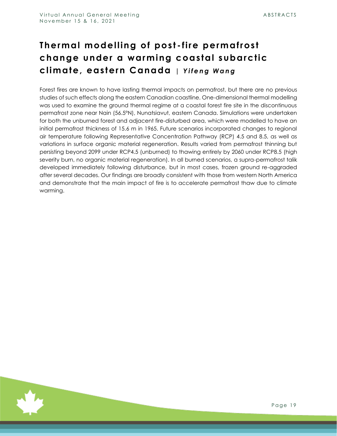# <span id="page-19-0"></span>**Thermal modelling of post - fire permafrost change under a warming coastal subarctic climate, eastern Canada |** *Y i f e n g W a n g*

Forest fires are known to have lasting thermal impacts on permafrost, but there are no previous studies of such effects along the eastern Canadian coastline. One-dimensional thermal modelling was used to examine the ground thermal regime at a coastal forest fire site in the discontinuous permafrost zone near Nain (56.5°N), Nunatsiavut, eastern Canada. Simulations were undertaken for both the unburned forest and adjacent fire-disturbed area, which were modelled to have an initial permafrost thickness of 15.6 m in 1965. Future scenarios incorporated changes to regional air temperature following Representative Concentration Pathway (RCP) 4.5 and 8.5, as well as variations in surface organic material regeneration. Results varied from permafrost thinning but persisting beyond 2099 under RCP4.5 (unburned) to thawing entirely by 2060 under RCP8.5 (high severity burn, no organic material regeneration). In all burned scenarios, a supra-permafrost talik developed immediately following disturbance, but in most cases, frozen ground re-aggraded after several decades. Our findings are broadly consistent with those from western North America and demonstrate that the main impact of fire is to accelerate permafrost thaw due to climate warming.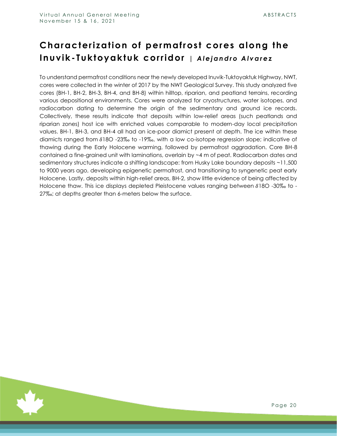### <span id="page-20-0"></span>**Characterization of permafrost cores along the Inuvik-Tuktoyaktuk corridor** | Alejandro Alvarez

To understand permafrost conditions near the newly developed Inuvik-Tuktoyaktuk Highway, NWT, cores were collected in the winter of 2017 by the NWT Geological Survey. This study analyzed five cores (BH-1, BH-2, BH-3, BH-4, and BH-8) within hilltop, riparian, and peatland terrains, recording various depositional environments. Cores were analyzed for cryostructures, water isotopes, and radiocarbon dating to determine the origin of the sedimentary and ground ice records. Collectively, these results indicate that deposits within low-relief areas (such peatlands and riparian zones) host ice with enriched values comparable to modern-day local precipitation values. BH-1, BH-3, and BH-4 all had an ice-poor diamict present at depth. The ice within these diamicts ranged from  $\delta$ 18O -23‰ to -19‰, with a low co-isotope regression slope; indicative of thawing during the Early Holocene warming, followed by permafrost aggradation. Core BH-8 contained a fine-grained unit with laminations, overlain by ~4 m of peat. Radiocarbon dates and sedimentary structures indicate a shifting landscape: from Husky Lake boundary deposits ~11,500 to 9000 years ago, developing epigenetic permafrost, and transitioning to syngenetic peat early Holocene. Lastly, deposits within high-relief areas, BH-2, show little evidence of being affected by Holocene thaw. This ice displays depleted Pleistocene values ranging between  $\delta$ 180 -30% to -27‰; at depths greater than 6-meters below the surface.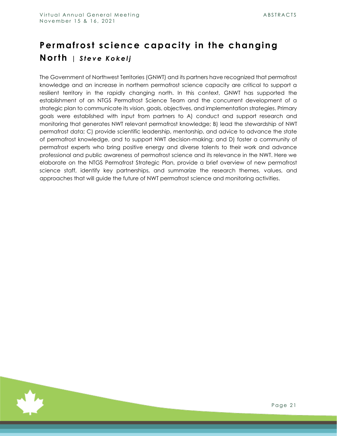# <span id="page-21-0"></span>**Permafrost science capacity in the changing North** | Steve Kokelj

The Government of Northwest Territories (GNWT) and its partners have recognized that permafrost knowledge and an increase in northern permafrost science capacity are critical to support a resilient territory in the rapidly changing north. In this context, GNWT has supported the establishment of an NTGS Permafrost Science Team and the concurrent development of a strategic plan to communicate its vision, goals, objectives, and implementation strategies. Primary goals were established with input from partners to A) conduct and support research and monitoring that generates NWT relevant permafrost knowledge; B) lead the stewardship of NWT permafrost data; C) provide scientific leadership, mentorship, and advice to advance the state of permafrost knowledge, and to support NWT decision-making; and D) foster a community of permafrost experts who bring positive energy and diverse talents to their work and advance professional and public awareness of permafrost science and its relevance in the NWT. Here we elaborate on the NTGS Permafrost Strategic Plan, provide a brief overview of new permafrost science staff, identify key partnerships, and summarize the research themes, values, and approaches that will guide the future of NWT permafrost science and monitoring activities.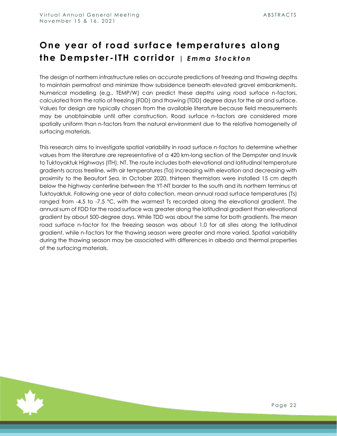# <span id="page-22-0"></span>**One year of road surface temperatures along the Dempster - ITH corridor** *| E m m a S t o c k t o n*

The design of northern infrastructure relies on accurate predictions of freezing and thawing depths to maintain permafrost and minimize thaw subsidence beneath elevated gravel embankments. Numerical modelling (e.g., TEMP/W) can predict these depths using road surface n-factors, calculated from the ratio of freezing (FDD) and thawing (TDD) degree days for the air and surface. Values for design are typically chosen from the available literature because field measurements may be unobtainable until after construction. Road surface n-factors are considered more spatially uniform than n-factors from the natural environment due to the relative homogeneity of surfacing materials.

This research aims to investigate spatial variability in road surface n-factors to determine whether values from the literature are representative of a 420 km-long section of the Dempster and Inuvik to Tuktoyaktuk Highways (ITH), NT. The route includes both elevational and latitudinal temperature gradients across treeline, with air temperatures (Ta) increasing with elevation and decreasing with proximity to the Beaufort Sea. In October 2020, thirteen thermistors were installed 15 cm depth below the highway centerline between the YT-NT border to the south and its northern terminus at Tuktoyaktuk. Following one year of data collection, mean annual road surface temperatures (Ts) ranged from -4.5 to -7.5 °C, with the warmest Ts recorded along the elevational gradient. The annual sum of FDD for the road surface was greater along the latitudinal gradient than elevational gradient by about 500-degree days. While TDD was about the same for both gradients. The mean road surface n-factor for the freezing season was about 1.0 for all sites along the latitudinal gradient, while n-factors for the thawing season were greater and more varied. Spatial variability during the thawing season may be associated with differences in albedo and thermal properties of the surfacing materials.

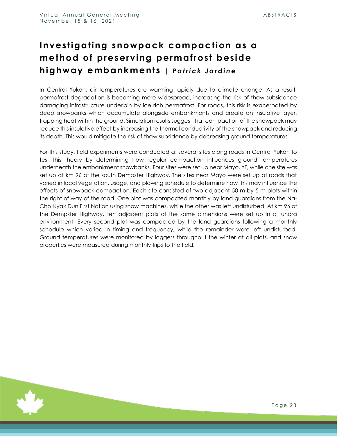# <span id="page-23-0"></span>**Investigating snowpack compaction as a method of preserving permafrost beside highway embankments** | Patrick Jardine

In Central Yukon, air temperatures are warming rapidly due to climate change. As a result, permafrost degradation is becoming more widespread, increasing the risk of thaw subsidence damaging infrastructure underlain by ice rich permafrost. For roads, this risk is exacerbated by deep snowbanks which accumulate alongside embankments and create an insulative layer, trapping heat within the ground. Simulation results suggest that compaction of the snowpack may reduce this insulative effect by increasing the thermal conductivity of the snowpack and reducing its depth. This would mitigate the risk of thaw subsidence by decreasing ground temperatures.

For this study, field experiments were conducted at several sites along roads in Central Yukon to test this theory by determining how regular compaction influences ground temperatures underneath the embankment snowbanks. Four sites were set up near Mayo, YT, while one site was set up at km 96 of the south Dempster Highway. The sites near Mayo were set up at roads that varied in local vegetation, usage, and plowing schedule to determine how this may influence the effects of snowpack compaction. Each site consisted of two adjacent 50 m by 5 m plots within the right of way of the road. One plot was compacted monthly by land guardians from the Na-Cho Nyak Dun First Nation using snow machines, while the other was left undisturbed. At km 96 of the Dempster Highway, ten adjacent plots of the same dimensions were set up in a tundra environment. Every second plot was compacted by the land guardians following a monthly schedule which varied in timing and frequency, while the remainder were left undisturbed. Ground temperatures were monitored by loggers throughout the winter at all plots, and snow properties were measured during monthly trips to the field.

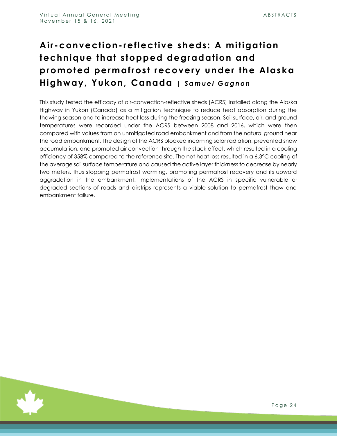# <span id="page-24-0"></span>**Air -convection- reflective sheds: A mitigation technique that stopped degradation and promoted permafrost recovery under the Alaska Highway, Yukon, Canada** *| S a m u e l G a g n o n*

This study tested the efficacy of air-convection-reflective sheds (ACRS) installed along the Alaska Highway in Yukon (Canada) as a mitigation technique to reduce heat absorption during the thawing season and to increase heat loss during the freezing season. Soil surface, air, and ground temperatures were recorded under the ACRS between 2008 and 2016, which were then compared with values from an unmitigated road embankment and from the natural ground near the road embankment. The design of the ACRS blocked incoming solar radiation, prevented snow accumulation, and promoted air convection through the stack effect, which resulted in a cooling efficiency of 358% compared to the reference site. The net heat loss resulted in a 6.3°C cooling of the average soil surface temperature and caused the active layer thickness to decrease by nearly two meters, thus stopping permafrost warming, promoting permafrost recovery and its upward aggradation in the embankment. Implementations of the ACRS in specific vulnerable or degraded sections of roads and airstrips represents a viable solution to permafrost thaw and embankment failure.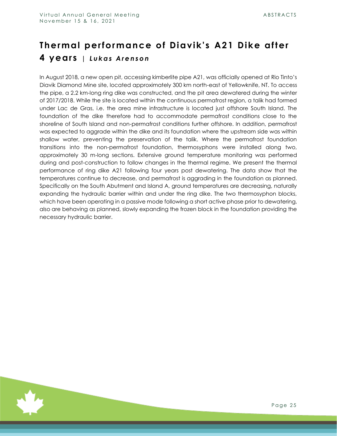#### <span id="page-25-0"></span>**Thermal performance of Diavik's A21 Dike after 4 years** *| L u k a s A r e n s o n*

In August 2018, a new open pit, accessing kimberlite pipe A21, was officially opened at Rio Tinto's Diavik Diamond Mine site, located approximately 300 km north-east of Yellowknife, NT. To access the pipe, a 2.2 km-long ring dike was constructed, and the pit area dewatered during the winter of 2017/2018. While the site is located within the continuous permafrost region, a talik had formed under Lac de Gras, i.e. the area mine infrastructure is located just offshore South Island. The foundation of the dike therefore had to accommodate permafrost conditions close to the shoreline of South Island and non-permafrost conditions further offshore. In addition, permafrost was expected to aggrade within the dike and its foundation where the upstream side was within shallow water, preventing the preservation of the talik. Where the permafrost foundation transitions into the non-permafrost foundation, thermosyphons were installed along two, approximately 30 m-long sections. Extensive ground temperature monitoring was performed during and post-construction to follow changes in the thermal regime. We present the thermal performance of ring dike A21 following four years post dewatering. The data show that the temperatures continue to decrease, and permafrost is aggrading in the foundation as planned. Specifically on the South Abutment and Island A, ground temperatures are decreasing, naturally expanding the hydraulic barrier within and under the ring dike. The two thermosyphon blocks, which have been operating in a passive mode following a short active phase prior to dewatering, also are behaving as planned, slowly expanding the frozen block in the foundation providing the necessary hydraulic barrier.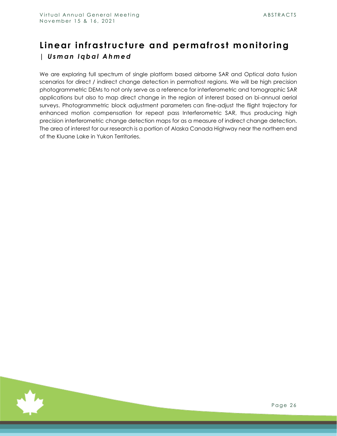#### <span id="page-26-0"></span>**Linear infrastructure and permafrost monitoring** *| U s m a n I q b a l A h m e d*

We are exploring full spectrum of single platform based airborne SAR and Optical data fusion scenarios for direct / indirect change detection in permafrost regions. We will be high precision photogrammetric DEMs to not only serve as a reference for interferometric and tomographic SAR applications but also to map direct change in the region of interest based on bi-annual aerial surveys. Photogrammetric block adjustment parameters can fine-adjust the flight trajectory for enhanced motion compensation for repeat pass Interferometric SAR, thus producing high precision interferometric change detection maps for as a measure of indirect change detection. The area of interest for our research is a portion of Alaska Canada Highway near the northern end of the Kluane Lake in Yukon Territories.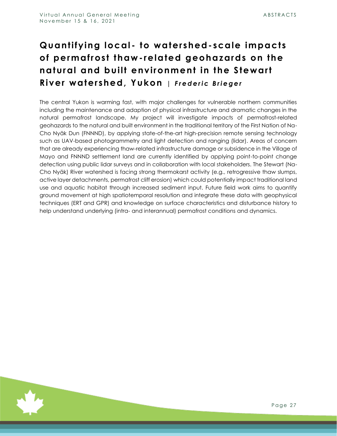# <span id="page-27-0"></span>**Quantifying local - to watershed- scale impacts of permafrost thaw - related geohazards on the natural and built environment in the Stewart**  River watershed, Yukon | Frederic Brieger

The central Yukon is warming fast, with major challenges for vulnerable northern communities including the maintenance and adaption of physical infrastructure and dramatic changes in the natural permafrost landscape. My project will investigate impacts of permafrost-related geohazards to the natural and built environment in the traditional territory of the First Nation of Na-Cho Nyäk Dun (FNNND), by applying state-of-the-art high-precision remote sensing technology such as UAV-based photogrammetry and light detection and ranging (lidar). Areas of concern that are already experiencing thaw-related infrastructure damage or subsidence in the Village of Mayo and FNNND settlement land are currently identified by applying point-to-point change detection using public lidar surveys and in collaboration with local stakeholders. The Stewart (Na-Cho Nyäk) River watershed is facing strong thermokarst activity (e.g., retrogressive thaw slumps, active layer detachments, permafrost cliff erosion) which could potentially impact traditional land use and aquatic habitat through increased sediment input. Future field work aims to quantify ground movement at high spatiotemporal resolution and integrate these data with geophysical techniques (ERT and GPR) and knowledge on surface characteristics and disturbance history to help understand underlying (intra- and interannual) permafrost conditions and dynamics.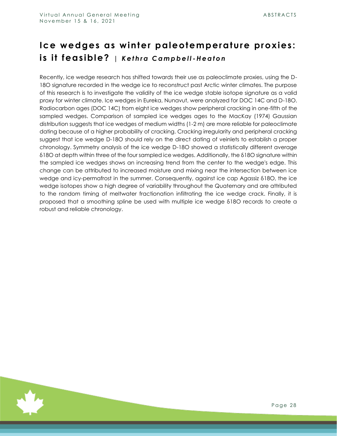#### <span id="page-28-0"></span>**Ice wedges as winter paleotemperature proxies:**   $i$ s it feasible? | Kethra Campbell-Heaton

Recently, ice wedge research has shifted towards their use as paleoclimate proxies, using the D-18O signature recorded in the wedge ice to reconstruct past Arctic winter climates. The purpose of this research is to investigate the validity of the ice wedge stable isotope signature as a valid proxy for winter climate. Ice wedges in Eureka, Nunavut, were analyzed for DOC 14C and D-18O. Radiocarbon ages (DOC 14C) from eight ice wedges show peripheral cracking in one-fifth of the sampled wedges. Comparison of sampled ice wedges ages to the MacKay (1974) Gaussian distribution suggests that ice wedges of medium widths (1-2 m) are more reliable for paleoclimate dating because of a higher probability of cracking. Cracking irregularity and peripheral cracking suggest that ice wedge D-18O should rely on the direct dating of veinlets to establish a proper chronology. Symmetry analysis of the ice wedge D-18O showed a statistically different average δ18O at depth within three of the four sampled ice wedges. Additionally, the δ18O signature within the sampled ice wedges shows an increasing trend from the center to the wedge's edge. This change can be attributed to increased moisture and mixing near the intersection between ice wedge and icy-permafrost in the summer. Consequently, against ice cap Agassiz δ18O, the ice wedge isotopes show a high degree of variability throughout the Quaternary and are attributed to the random timing of meltwater fractionation infiltrating the ice wedge crack. Finally, it is proposed that a smoothing spline be used with multiple ice wedge δ18O records to create a robust and reliable chronology.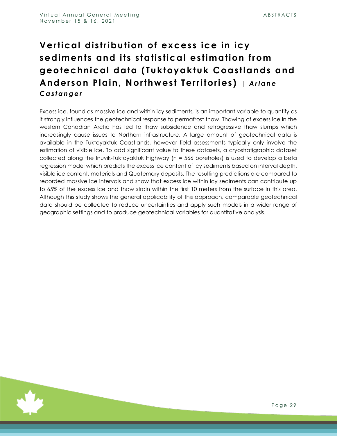# <span id="page-29-0"></span>**Vertical distribution of excess ice in icy sediments and its statistical estimation from geotechnical data (Tuktoyaktuk Coastlands and**  Anderson Plain, Northwest Territories) | Ariane *C a s t a n g e r*

Excess ice, found as massive ice and within icy sediments, is an important variable to quantify as it strongly influences the geotechnical response to permafrost thaw. Thawing of excess ice in the western Canadian Arctic has led to thaw subsidence and retrogressive thaw slumps which increasingly cause issues to Northern infrastructure. A large amount of geotechnical data is available in the Tuktoyaktuk Coastlands, however field assessments typically only involve the estimation of visible ice. To add significant value to these datasets, a cryostratigraphic dataset collected along the Inuvik-Tuktoyaktuk Highway (n = 566 boreholes) is used to develop a beta regression model which predicts the excess ice content of icy sediments based on interval depth, visible ice content, materials and Quaternary deposits. The resulting predictions are compared to recorded massive ice intervals and show that excess ice within icy sediments can contribute up to 65% of the excess ice and thaw strain within the first 10 meters from the surface in this area. Although this study shows the general applicability of this approach, comparable geotechnical data should be collected to reduce uncertainties and apply such models in a wider range of geographic settings and to produce geotechnical variables for quantitative analysis.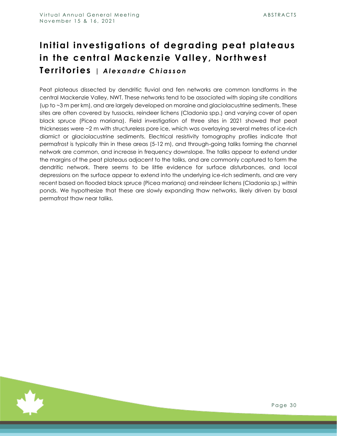# <span id="page-30-0"></span>**Initial investigations of degrading peat plateaus in the central Mackenzie Valley, Northwest Territories** *| A l e x a n d r e C h i a s s o n*

Peat plateaus dissected by dendritic fluvial and fen networks are common landforms in the central Mackenzie Valley, NWT. These networks tend to be associated with sloping site conditions (up to ~3 m per km), and are largely developed on moraine and glaciolacustrine sediments. These sites are often covered by tussocks, reindeer lichens (Cladonia spp.) and varying cover of open black spruce (Picea mariana). Field investigation of three sites in 2021 showed that peat thicknesses were ~2 m with structureless pore ice, which was overlaying several metres of ice-rich diamict or glaciolacustrine sediments. Electrical resistivity tomography profiles indicate that permafrost is typically thin in these areas (5-12 m), and through-going taliks forming the channel network are common, and increase in frequency downslope. The taliks appear to extend under the margins of the peat plateaus adjacent to the taliks, and are commonly captured to form the dendritic network. There seems to be little evidence for surface disturbances, and local depressions on the surface appear to extend into the underlying ice-rich sediments, and are very recent based on flooded black spruce (Picea mariana) and reindeer lichens (Cladonia sp.) within ponds. We hypothesize that these are slowly expanding thaw networks, likely driven by basal permafrost thaw near taliks.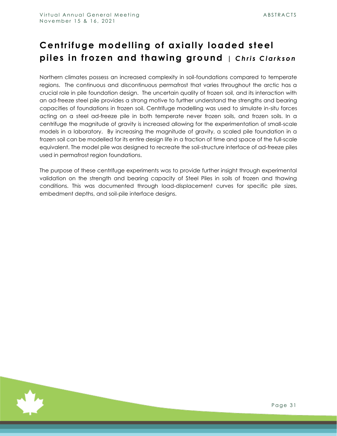### <span id="page-31-0"></span>**Centrifuge modelling of axially loaded steel piles in frozen and thawing ground** *| Chris Clarkson*

Northern climates possess an increased complexity in soil-foundations compared to temperate regions. The continuous and discontinuous permafrost that varies throughout the arctic has a crucial role in pile foundation design. The uncertain quality of frozen soil, and its interaction with an ad-freeze steel pile provides a strong motive to further understand the strengths and bearing capacities of foundations in frozen soil. Centrifuge modelling was used to simulate in-situ forces acting on a steel ad-freeze pile in both temperate never frozen soils, and frozen soils. In a centrifuge the magnitude of gravity is increased allowing for the experimentation of small-scale models in a laboratory. By increasing the magnitude of gravity, a scaled pile foundation in a frozen soil can be modelled for its entire design life in a fraction of time and space of the full-scale equivalent. The model pile was designed to recreate the soil-structure interface of ad-freeze piles used in permafrost region foundations.

The purpose of these centrifuge experiments was to provide further insight through experimental validation on the strength and bearing capacity of Steel Piles in soils of frozen and thawing conditions. This was documented through load-displacement curves for specific pile sizes, embedment depths, and soil-pile interface designs.

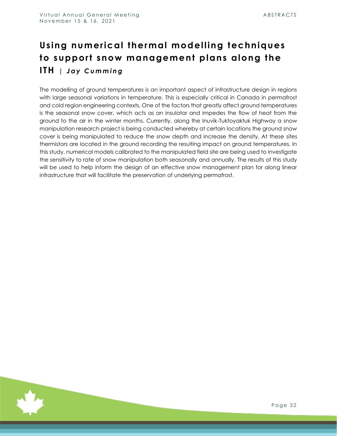# <span id="page-32-0"></span>**Using numerical thermal modelling techniques to support snow management plans along the ITH** *| J a y C u m m i n g*

The modelling of ground temperatures is an important aspect of infrastructure design in regions with large seasonal variations in temperature. This is especially critical in Canada in permafrost and cold region engineering contexts. One of the factors that greatly affect ground temperatures is the seasonal snow cover, which acts as an insulator and impedes the flow of heat from the ground to the air in the winter months. Currently, along the Inuvik-Tuktoyaktuk Highway a snow manipulation research project is being conducted whereby at certain locations the ground snow cover is being manipulated to reduce the snow depth and increase the density. At these sites thermistors are located in the ground recording the resulting impact on ground temperatures. In this study, numerical models calibrated to the manipulated field site are being used to investigate the sensitivity to rate of snow manipulation both seasonally and annually. The results of this study will be used to help inform the design of an effective snow management plan for along linear infrastructure that will facilitate the preservation of underlying permafrost.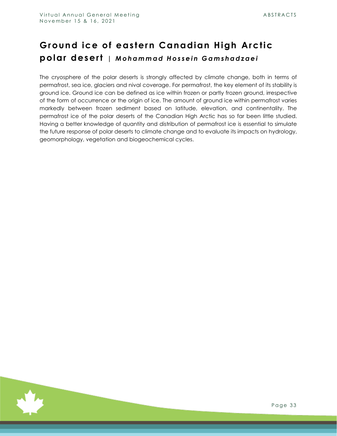#### <span id="page-33-0"></span>**Ground ice of eastern Canadian High Arctic polar desert** *| M o h a m m a d Ho s s e i n G a m s h a d z a e i*

The cryosphere of the polar deserts is strongly affected by climate change, both in terms of permafrost, sea ice, glaciers and nival coverage. For permafrost, the key element of its stability is ground ice. Ground ice can be defined as ice within frozen or partly frozen ground, irrespective of the form of occurrence or the origin of ice. The amount of ground ice within permafrost varies markedly between frozen sediment based on latitude, elevation, and continentality. The permafrost ice of the polar deserts of the Canadian High Arctic has so far been little studied. Having a better knowledge of quantity and distribution of permafrost ice is essential to simulate the future response of polar deserts to climate change and to evaluate its impacts on hydrology, geomorphology, vegetation and biogeochemical cycles.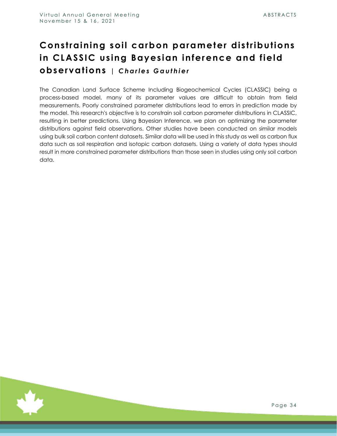#### <span id="page-34-0"></span>**Constraining soil carbon parameter distributions in CLASSIC using Bayesian inference and field observations** *| C h a r l e s G a u t h i e r*

The Canadian Land Surface Scheme Including Biogeochemical Cycles (CLASSIC) being a process-based model, many of its parameter values are difficult to obtain from field measurements. Poorly constrained parameter distributions lead to errors in prediction made by the model. This research's objective is to constrain soil carbon parameter distributions in CLASSIC, resulting in better predictions. Using Bayesian Inference, we plan on optimizing the parameter distributions against field observations. Other studies have been conducted on similar models using bulk soil carbon content datasets. Similar data will be used in this study as well as carbon flux data such as soil respiration and isotopic carbon datasets. Using a variety of data types should result in more constrained parameter distributions than those seen in studies using only soil carbon data.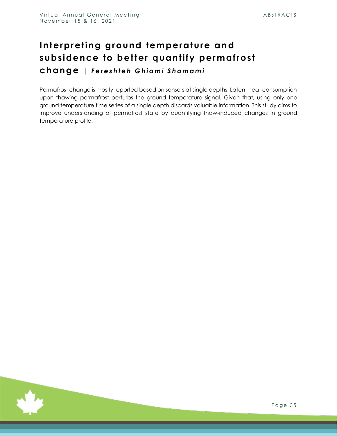#### <span id="page-35-0"></span>Interpreting ground temperature and **subsidence to better quantify permafrost change** *| F e r e s h t e h G h i a m i S h o m a m i*

Permafrost change is mostly reported based on sensors at single depths. Latent heat consumption upon thawing permafrost perturbs the ground temperature signal. Given that, using only one ground temperature time series of a single depth discards valuable information. This study aims to improve understanding of permafrost state by quantifying thaw-induced changes in ground temperature profile.

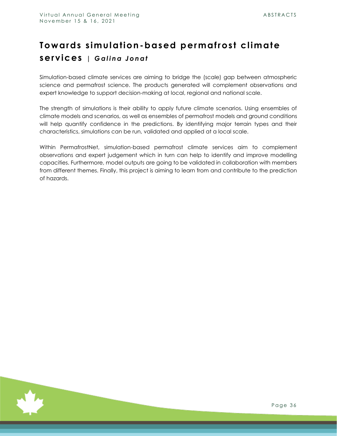# <span id="page-36-0"></span>**Towards simulation-based permafrost climate services** | Galina Jonat

Simulation-based climate services are aiming to bridge the (scale) gap between atmospheric science and permafrost science. The products generated will complement observations and expert knowledge to support decision-making at local, regional and national scale.

The strength of simulations is their ability to apply future climate scenarios. Using ensembles of climate models and scenarios, as well as ensembles of permafrost models and ground conditions will help quantify confidence in the predictions. By identifying major terrain types and their characteristics, simulations can be run, validated and applied at a local scale.

Within PermafrostNet, simulation-based permafrost climate services aim to complement observations and expert judgement which in turn can help to identify and improve modelling capacities. Furthermore, model outputs are going to be validated in collaboration with members from different themes. Finally, this project is aiming to learn from and contribute to the prediction of hazards.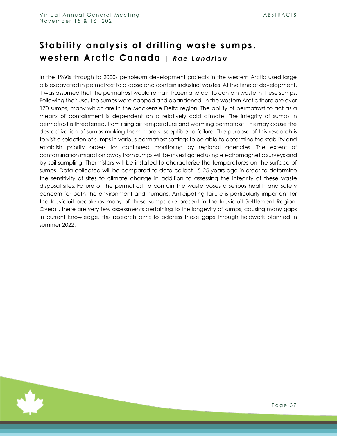#### <span id="page-37-0"></span>**Stability analysis of drilling waste sumps, western Arctic Canada** | Rae Landriau

In the 1960s through to 2000s petroleum development projects in the western Arctic used large pits excavated in permafrost to dispose and contain industrial wastes. At the time of development, it was assumed that the permafrost would remain frozen and act to contain waste in these sumps. Following their use, the sumps were capped and abandoned. In the western Arctic there are over 170 sumps, many which are in the Mackenzie Delta region. The ability of permafrost to act as a means of containment is dependent on a relatively cold climate. The integrity of sumps in permafrost is threatened, from rising air temperature and warming permafrost. This may cause the destabilization of sumps making them more susceptible to failure. The purpose of this research is to visit a selection of sumps in various permafrost settings to be able to determine the stability and establish priority orders for continued monitoring by regional agencies. The extent of contamination migration away from sumps will be investigated using electromagnetic surveys and by soil sampling. Thermistors will be installed to characterize the temperatures on the surface of sumps. Data collected will be compared to data collect 15-25 years ago in order to determine the sensitivity of sites to climate change in addition to assessing the integrity of these waste disposal sites. Failure of the permafrost to contain the waste poses a serious health and safety concern for both the environment and humans. Anticipating failure is particularly important for the Inuvialuit people as many of these sumps are present in the Inuvialuit Settlement Region. Overall, there are very few assessments pertaining to the longevity of sumps, causing many gaps in current knowledge, this research aims to address these gaps through fieldwork planned in summer 2022.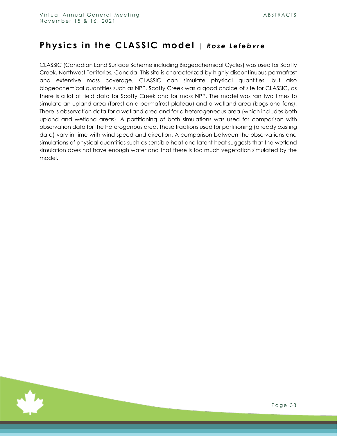#### <span id="page-38-0"></span>Physics in the CLASSIC model | Rose Lefebvre

CLASSIC (Canadian Land Surface Scheme including Biogeochemical Cycles) was used for Scotty Creek, Northwest Territories, Canada. This site is characterized by highly discontinuous permafrost and extensive moss coverage. CLASSIC can simulate physical quantities, but also biogeochemical quantities such as NPP. Scotty Creek was a good choice of site for CLASSIC, as there is a lot of field data for Scotty Creek and for moss NPP. The model was ran two times to simulate an upland area (forest on a permafrost plateau) and a wetland area (bogs and fens). There is observation data for a wetland area and for a heterogeneous area (which includes both upland and wetland areas). A partitioning of both simulations was used for comparison with observation data for the heterogenous area. These fractions used for partitioning (already existing data) vary in time with wind speed and direction. A comparison between the observations and simulations of physical quantities such as sensible heat and latent heat suggests that the wetland simulation does not have enough water and that there is too much vegetation simulated by the model.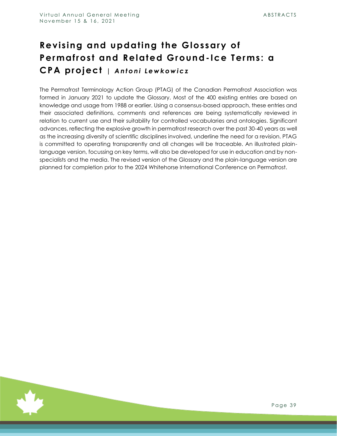# <span id="page-39-0"></span>**Revising and updating the Glossary of Permafrost and Related Ground- Ice Terms: a CPA project** | Antoni Lewkowicz

The Permafrost Terminology Action Group (PTAG) of the Canadian Permafrost Association was formed in January 2021 to update the Glossary. Most of the 400 existing entries are based on knowledge and usage from 1988 or earlier. Using a consensus-based approach, these entries and their associated definitions, comments and references are being systematically reviewed in relation to current use and their suitability for controlled vocabularies and ontologies. Significant advances, reflecting the explosive growth in permafrost research over the past 30-40 years as well as the increasing diversity of scientific disciplines involved, underline the need for a revision. PTAG is committed to operating transparently and all changes will be traceable. An illustrated plainlanguage version, focussing on key terms, will also be developed for use in education and by nonspecialists and the media. The revised version of the Glossary and the plain-language version are planned for completion prior to the 2024 Whitehorse International Conference on Permafrost.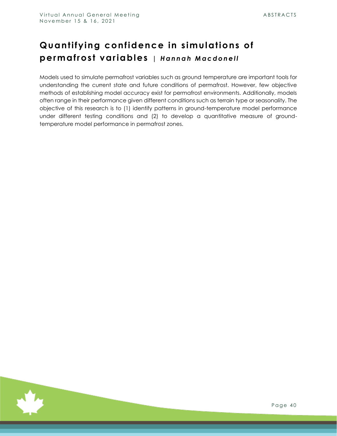#### <span id="page-40-0"></span>**Quantifying confidence in simulations of**  permafrost variables | Hannah Macdonell

Models used to simulate permafrost variables such as ground temperature are important tools for understanding the current state and future conditions of permafrost. However, few objective methods of establishing model accuracy exist for permafrost environments. Additionally, models often range in their performance given different conditions such as terrain type or seasonality. The objective of this research is to (1) identify patterns in ground-temperature model performance under different testing conditions and (2) to develop a quantitative measure of groundtemperature model performance in permafrost zones.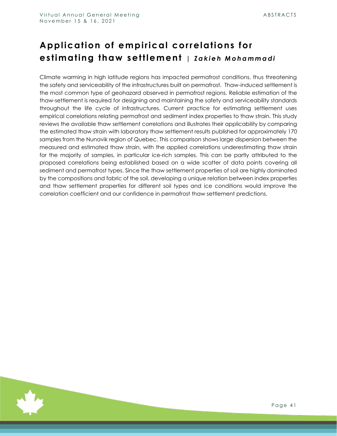# <span id="page-41-0"></span>**Application of empirical correlations for estimating thaw settlement** | Zakieh Mohammadi

Climate warming in high latitude regions has impacted permafrost conditions, thus threatening the safety and serviceability of the infrastructures built on permafrost. Thaw-induced settlement is the most common type of geohazard observed in permafrost regions. Reliable estimation of the thaw-settlement is required for designing and maintaining the safety and serviceability standards throughout the life cycle of infrastructures. Current practice for estimating settlement uses empirical correlations relating permafrost and sediment index properties to thaw strain. This study reviews the available thaw settlement correlations and illustrates their applicability by comparing the estimated thaw strain with laboratory thaw settlement results published for approximately 170 samples from the Nunavik region of Quebec. This comparison shows large dispersion between the measured and estimated thaw strain, with the applied correlations underestimating thaw strain for the majority of samples, in particular ice-rich samples. This can be partly attributed to the proposed correlations being established based on a wide scatter of data points covering all sediment and permafrost types. Since the thaw settlement properties of soil are highly dominated by the compositions and fabric of the soil, developing a unique relation between index properties and thaw settlement properties for different soil types and ice conditions would improve the correlation coefficient and our confidence in permafrost thaw settlement predictions.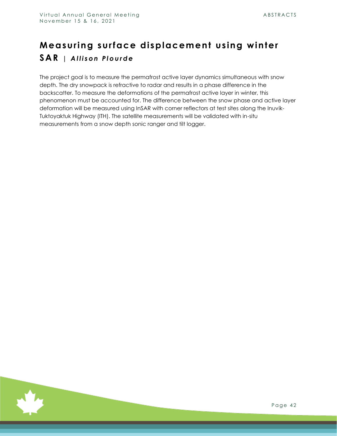# <span id="page-42-0"></span>**Measuring surface displacement using winter SAR** | Allison Plourde

The project goal is to measure the permafrost active layer dynamics simultaneous with snow depth. The dry snowpack is refractive to radar and results in a phase difference in the backscatter. To measure the deformations of the permafrost active layer in winter, this phenomenon must be accounted for. The difference between the snow phase and active layer deformation will be measured using InSAR with corner reflectors at test sites along the Inuvik-Tuktoyaktuk Highway (ITH). The satellite measurements will be validated with in-situ measurements from a snow depth sonic ranger and tilt logger.

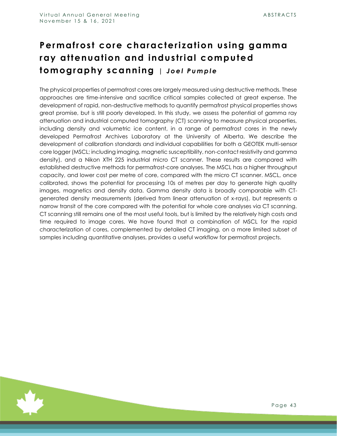# <span id="page-43-0"></span>**Permafrost core characterization using gamma ray attenuation and industrial computed tomography scanning** | Joel Pumple

The physical properties of permafrost cores are largely measured using destructive methods. These approaches are time-intensive and sacrifice critical samples collected at great expense. The development of rapid, non-destructive methods to quantify permafrost physical properties shows great promise, but is still poorly developed. In this study, we assess the potential of gamma ray attenuation and industrial computed tomography (CT) scanning to measure physical properties, including density and volumetric ice content, in a range of permafrost cores in the newly developed Permafrost Archives Laboratory at the University of Alberta. We describe the development of calibration standards and individual capabilities for both a GEOTEK multi-sensor core logger (MSCL; including imaging, magnetic susceptibility, non-contact resistivity and gamma density), and a Nikon XTH 225 industrial micro CT scanner. These results are compared with established destructive methods for permafrost-core analyses. The MSCL has a higher throughput capacity, and lower cost per metre of core, compared with the micro CT scanner. MSCL, once calibrated, shows the potential for processing 10s of metres per day to generate high quality images, magnetics and density data. Gamma density data is broadly comparable with CTgenerated density measurements (derived from linear attenuation of x-rays), but represents a narrow transit of the core compared with the potential for whole core analyses via CT scanning. CT scanning still remains one of the most useful tools, but is limited by the relatively high costs and time required to image cores. We have found that a combination of MSCL for the rapid characterization of cores, complemented by detailed CT imaging, on a more limited subset of samples including quantitative analyses, provides a useful workflow for permafrost projects.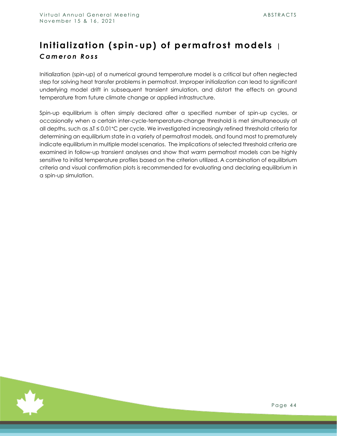#### <span id="page-44-0"></span>**Initialization (spin-up) of permafrost models** *| C a m e r o n R o s s*

Initialization (spin-up) of a numerical ground temperature model is a critical but often neglected step for solving heat transfer problems in permafrost. Improper initialization can lead to significant underlying model drift in subsequent transient simulation, and distort the effects on ground temperature from future climate change or applied infrastructure.

Spin-up equilibrium is often simply declared after a specified number of spin-up cycles, or occasionally when a certain inter-cycle-temperature-change threshold is met simultaneously at all depths, such as ∆T ≤ 0.01°C per cycle. We investigated increasingly refined threshold criteria for determining an equilibrium state in a variety of permafrost models, and found most to prematurely indicate equilibrium in multiple model scenarios. The implications of selected threshold criteria are examined in follow-up transient analyses and show that warm permafrost models can be highly sensitive to initial temperature profiles based on the criterion utilized. A combination of equilibrium criteria and visual confirmation plots is recommended for evaluating and declaring equilibrium in a spin-up simulation.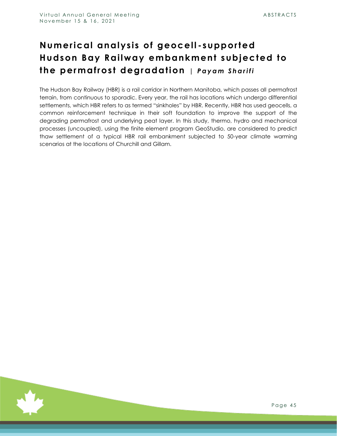# <span id="page-45-0"></span>**Numerical analysis of geocell - supported Hudson Bay Railway embankment subjected to the permafrost degradation** *| P a y a m S h a r i f i*

The Hudson Bay Railway (HBR) is a rail corridor in Northern Manitoba, which passes all permafrost terrain, from continuous to sporadic. Every year, the rail has locations which undergo differential settlements, which HBR refers to as termed "sinkholes" by HBR. Recently, HBR has used geocells, a common reinforcement technique in their soft foundation to improve the support of the degrading permafrost and underlying peat layer. In this study, thermo, hydro and mechanical processes (uncoupled), using the finite element program GeoStudio, are considered to predict thaw settlement of a typical HBR rail embankment subjected to 50-year climate warming scenarios at the locations of Churchill and Gillam.

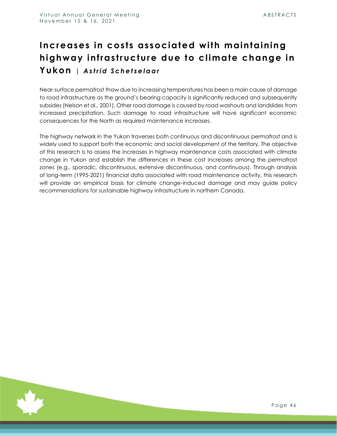# <span id="page-46-0"></span>**Increases in costs associated with maintaining highway infrastructure due to climate change in Yukon** *| A s t r i d S c h e t s e l a a r*

Near-surface permafrost thaw due to increasing temperatures has been a main cause of damage to road infrastructure as the ground's bearing capacity is significantly reduced and subsequently subsides (Nelson et al., 2001). Other road damage is caused by road washouts and landslides from increased precipitation. Such damage to road infrastructure will have significant economic consequences for the North as required maintenance increases.

The highway network in the Yukon traverses both continuous and discontinuous permafrost and is widely used to support both the economic and social development of the territory. The objective of this research is to assess the increases in highway maintenance costs associated with climate change in Yukon and establish the differences in these cost increases among the permafrost zones (e.g., sporadic, discontinuous, extensive discontinuous, and continuous). Through analysis of long-term (1995-2021) financial data associated with road maintenance activity, this research will provide an empirical basis for climate change-induced damage and may guide policy recommendations for sustainable highway infrastructure in northern Canada.

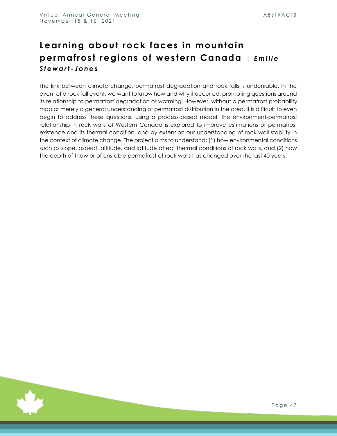#### <span id="page-47-0"></span>**Learning about rock faces in mountain permafrost regions of western Canada** | Emilie *S t e w a r t - J o n e s*

The link between climate change, permafrost degradation and rock falls is undeniable. In the event of a rock fall event, we want to know how and why it occurred, prompting questions around its relationship to permafrost degradation or warming. However, without a permafrost probability map or merely a general understanding of permafrost distribution in the area, it is difficult to even begin to address these questions. Using a process-based model, the environment-permafrost relationship in rock walls of Western Canada is explored to improve estimations of permafrost existence and its thermal condition, and by extension our understanding of rock wall stability in the context of climate change. The project aims to understand: (1) how environmental conditions such as slope, aspect, altitude, and latitude affect thermal conditions of rock walls, and (2) how the depth of thaw or of unstable permafrost of rock walls has changed over the last 40 years.